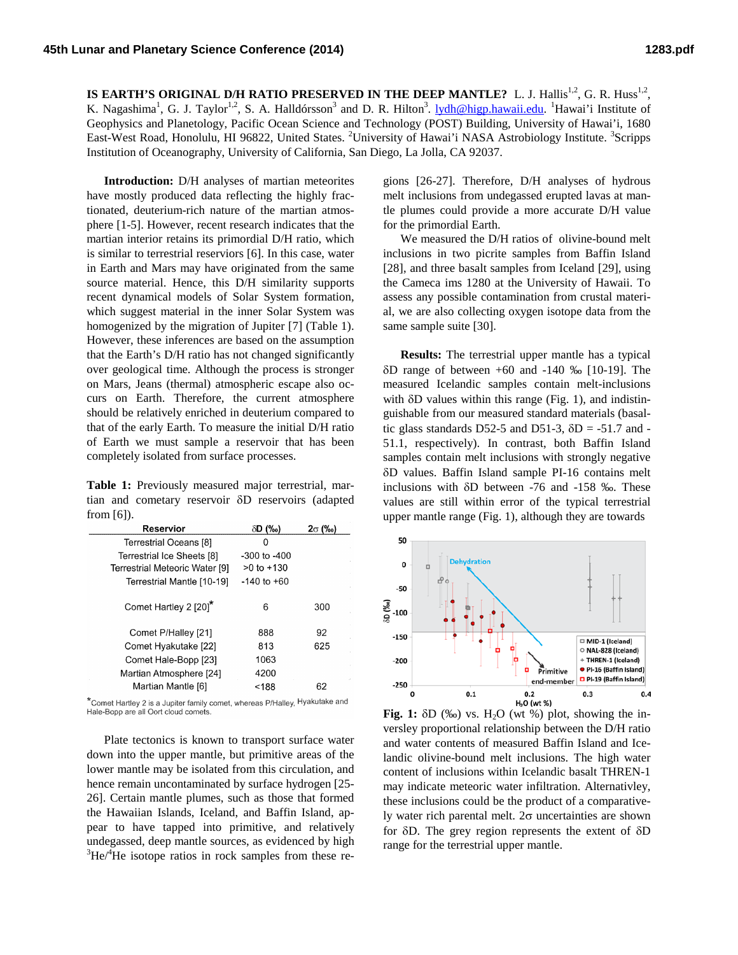**IS EARTH'S ORIGINAL D/H RATIO PRESERVED IN THE DEEP MANTLE?** L. J. Hallis<sup>1,2</sup>, G. R. Huss<sup>1,2</sup>, K. Nagashima<sup>1</sup>, G. J. Taylor<sup>1,2</sup>, S. A. Halldórsson<sup>3</sup> and D. R. Hilton<sup>3</sup>. <u>lydh@higp.hawaii.edu</u>. <sup>1</sup>Hawai'i Institute of Geophysics and Planetology, Pacific Ocean Science and Technology (POST) Building, University of Hawai'i, 1680 East-West Road, Honolulu, HI 96822, United States. <sup>2</sup>University of Hawai'i NASA Astrobiology Institute. <sup>3</sup>Scripps Institution of Oceanography, University of California, San Diego, La Jolla, CA 92037.

**Introduction:** D/H analyses of martian meteorites have mostly produced data reflecting the highly fractionated, deuterium-rich nature of the martian atmosphere [1-5]. However, recent research indicates that the martian interior retains its primordial D/H ratio, which is similar to terrestrial reserviors [6]. In this case, water in Earth and Mars may have originated from the same source material. Hence, this D/H similarity supports recent dynamical models of Solar System formation, which suggest material in the inner Solar System was homogenized by the migration of Jupiter [7] (Table 1). However, these inferences are based on the assumption that the Earth's D/H ratio has not changed significantly over geological time. Although the process is stronger on Mars, Jeans (thermal) atmospheric escape also occurs on Earth. Therefore, the current atmosphere should be relatively enriched in deuterium compared to that of the early Earth. To measure the initial D/H ratio of Earth we must sample a reservoir that has been completely isolated from surface processes.

**Table 1:** Previously measured major terrestrial, martian and cometary reservoir δD reservoirs (adapted from [6]).

| Reservior                      | $\delta$ D $(\%$ o) | $2\sigma$ (‰) |
|--------------------------------|---------------------|---------------|
| Terrestrial Oceans [8]         | 0                   |               |
| Terrestrial Ice Sheets [8]     | -300 to -400        |               |
| Terrestrial Meteoric Water [9] | $>0$ to $+130$      |               |
| Terrestrial Mantle [10-19]     | $-140$ to $+60$     |               |
| Comet Hartley 2 [20]*          | 6                   | 300           |
| Comet P/Halley [21]            | 888                 | 92            |
| Comet Hyakutake [22]           | 813                 | 625           |
| Comet Hale-Bopp [23]           | 1063                |               |
| Martian Atmosphere [24]        | 4200                |               |
| Martian Mantle [6]             | < 188               | 62            |

\*Comet Hartley 2 is a Jupiter family comet, whereas P/Halley, Hyakutake and Hale-Bopp are all Oort cloud comets.

Plate tectonics is known to transport surface water down into the upper mantle, but primitive areas of the lower mantle may be isolated from this circulation, and hence remain uncontaminated by surface hydrogen [25- 26]. Certain mantle plumes, such as those that formed the Hawaiian Islands, Iceland, and Baffin Island, appear to have tapped into primitive, and relatively undegassed, deep mantle sources, as evidenced by high 3 He/4 He isotope ratios in rock samples from these re-

gions [26-27]. Therefore, D/H analyses of hydrous melt inclusions from undegassed erupted lavas at mantle plumes could provide a more accurate D/H value for the primordial Earth.

We measured the D/H ratios of olivine-bound melt inclusions in two picrite samples from Baffin Island [28], and three basalt samples from Iceland [29], using the Cameca ims 1280 at the University of Hawaii. To assess any possible contamination from crustal material, we are also collecting oxygen isotope data from the same sample suite [30].

**Results:** The terrestrial upper mantle has a typical δD range of between +60 and -140 ‰ [10-19]. The measured Icelandic samples contain melt-inclusions with  $\delta$ D values within this range (Fig. 1), and indistinguishable from our measured standard materials (basaltic glass standards D52-5 and D51-3,  $\delta$ D = -51.7 and -51.1, respectively). In contrast, both Baffin Island samples contain melt inclusions with strongly negative δD values. Baffin Island sample PI-16 contains melt inclusions with δD between -76 and -158 ‰. These values are still within error of the typical terrestrial upper mantle range (Fig. 1), although they are towards



**Fig. 1:**  $\delta D$  (‰) vs. H<sub>2</sub>O (wt %) plot, showing the inversley proportional relationship between the D/H ratio and water contents of measured Baffin Island and Icelandic olivine-bound melt inclusions. The high water content of inclusions within Icelandic basalt THREN-1 may indicate meteoric water infiltration. Alternativley, these inclusions could be the product of a comparatively water rich parental melt. 2σ uncertainties are shown for δD. The grey region represents the extent of δD range for the terrestrial upper mantle.